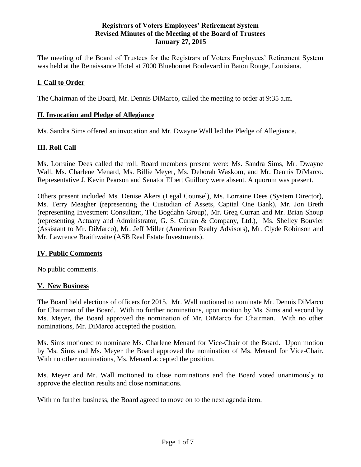### **Registrars of Voters Employees' Retirement System Revised Minutes of the Meeting of the Board of Trustees January 27, 2015**

The meeting of the Board of Trustees for the Registrars of Voters Employees' Retirement System was held at the Renaissance Hotel at 7000 Bluebonnet Boulevard in Baton Rouge, Louisiana.

# **I. Call to Order**

The Chairman of the Board, Mr. Dennis DiMarco, called the meeting to order at 9:35 a.m.

### **II. Invocation and Pledge of Allegiance**

Ms. Sandra Sims offered an invocation and Mr. Dwayne Wall led the Pledge of Allegiance.

## **III. Roll Call**

Ms. Lorraine Dees called the roll. Board members present were: Ms. Sandra Sims, Mr. Dwayne Wall, Ms. Charlene Menard, Ms. Billie Meyer, Ms. Deborah Waskom, and Mr. Dennis DiMarco. Representative J. Kevin Pearson and Senator Elbert Guillory were absent. A quorum was present.

Others present included Ms. Denise Akers (Legal Counsel), Ms. Lorraine Dees (System Director), Ms. Terry Meagher (representing the Custodian of Assets, Capital One Bank), Mr. Jon Breth (representing Investment Consultant, The Bogdahn Group), Mr. Greg Curran and Mr. Brian Shoup (representing Actuary and Administrator, G. S. Curran & Company, Ltd.), Ms. Shelley Bouvier (Assistant to Mr. DiMarco), Mr. Jeff Miller (American Realty Advisors), Mr. Clyde Robinson and Mr. Lawrence Braithwaite (ASB Real Estate Investments).

## **IV. Public Comments**

No public comments.

#### **V. New Business**

The Board held elections of officers for 2015. Mr. Wall motioned to nominate Mr. Dennis DiMarco for Chairman of the Board. With no further nominations, upon motion by Ms. Sims and second by Ms. Meyer, the Board approved the nomination of Mr. DiMarco for Chairman. With no other nominations, Mr. DiMarco accepted the position.

Ms. Sims motioned to nominate Ms. Charlene Menard for Vice-Chair of the Board. Upon motion by Ms. Sims and Ms. Meyer the Board approved the nomination of Ms. Menard for Vice-Chair. With no other nominations, Ms. Menard accepted the position.

Ms. Meyer and Mr. Wall motioned to close nominations and the Board voted unanimously to approve the election results and close nominations.

With no further business, the Board agreed to move on to the next agenda item.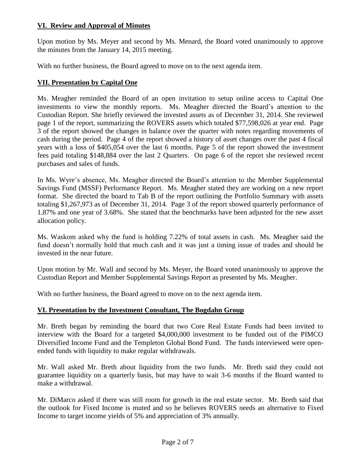## **VI. Review and Approval of Minutes**

Upon motion by Ms. Meyer and second by Ms. Menard, the Board voted unanimously to approve the minutes from the January 14, 2015 meeting.

With no further business, the Board agreed to move on to the next agenda item.

# **VII. Presentation by Capital One**

Ms. Meagher reminded the Board of an open invitation to setup online access to Capital One investments to view the monthly reports. Ms. Meagher directed the Board's attention to the Custodian Report. She briefly reviewed the invested assets as of December 31, 2014. She reviewed page 1 of the report, summarizing the ROVERS assets which totaled \$77,598,026 at year end. Page 3 of the report showed the changes in balance over the quarter with notes regarding movements of cash during the period. Page 4 of the report showed a history of asset changes over the past 4 fiscal years with a loss of \$405,054 over the last 6 months. Page 5 of the report showed the investment fees paid totaling \$148,884 over the last 2 Quarters. On page 6 of the report she reviewed recent purchases and sales of funds.

In Ms. Wyre's absence, Ms. Meagher directed the Board's attention to the Member Supplemental Savings Fund (MSSF) Performance Report. Ms. Meagher stated they are working on a new report format. She directed the board to Tab B of the report outlining the Portfolio Summary with assets totaling \$1,267,973 as of December 31, 2014. Page 3 of the report showed quarterly performance of 1.87% and one year of 3.68%. She stated that the benchmarks have been adjusted for the new asset allocation policy.

Ms. Waskom asked why the fund is holding 7.22% of total assets in cash. Ms. Meagher said the fund doesn't normally hold that much cash and it was just a timing issue of trades and should be invested in the near future.

Upon motion by Mr. Wall and second by Ms. Meyer, the Board voted unanimously to approve the Custodian Report and Member Supplemental Savings Report as presented by Ms. Meagher.

With no further business, the Board agreed to move on to the next agenda item.

## **VI. Presentation by the Investment Consultant, The Bogdahn Group**

Mr. Breth began by reminding the board that two Core Real Estate Funds had been invited to interview with the Board for a targeted \$4,000,000 investment to be funded out of the PIMCO Diversified Income Fund and the Templeton Global Bond Fund. The funds interviewed were openended funds with liquidity to make regular withdrawals.

Mr. Wall asked Mr. Breth about liquidity from the two funds. Mr. Breth said they could not guarantee liquidity on a quarterly basis, but may have to wait 3-6 months if the Board wanted to make a withdrawal.

Mr. DiMarco asked if there was still room for growth in the real estate sector. Mr. Breth said that the outlook for Fixed Income is muted and so he believes ROVERS needs an alternative to Fixed Income to target income yields of 5% and appreciation of 3% annually.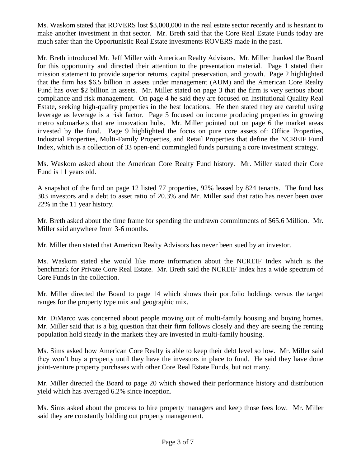Ms. Waskom stated that ROVERS lost \$3,000,000 in the real estate sector recently and is hesitant to make another investment in that sector. Mr. Breth said that the Core Real Estate Funds today are much safer than the Opportunistic Real Estate investments ROVERS made in the past.

Mr. Breth introduced Mr. Jeff Miller with American Realty Advisors. Mr. Miller thanked the Board for this opportunity and directed their attention to the presentation material. Page 1 stated their mission statement to provide superior returns, capital preservation, and growth. Page 2 highlighted that the firm has \$6.5 billion in assets under management (AUM) and the American Core Realty Fund has over \$2 billion in assets. Mr. Miller stated on page 3 that the firm is very serious about compliance and risk management. On page 4 he said they are focused on Institutional Quality Real Estate, seeking high-quality properties in the best locations. He then stated they are careful using leverage as leverage is a risk factor. Page 5 focused on income producing properties in growing metro submarkets that are innovation hubs. Mr. Miller pointed out on page 6 the market areas invested by the fund. Page 9 highlighted the focus on pure core assets of: Office Properties, Industrial Properties, Multi-Family Properties, and Retail Properties that define the NCREIF Fund Index, which is a collection of 33 open-end commingled funds pursuing a core investment strategy.

Ms. Waskom asked about the American Core Realty Fund history. Mr. Miller stated their Core Fund is 11 years old.

A snapshot of the fund on page 12 listed 77 properties, 92% leased by 824 tenants. The fund has 303 investors and a debt to asset ratio of 20.3% and Mr. Miller said that ratio has never been over 22% in the 11 year history.

Mr. Breth asked about the time frame for spending the undrawn commitments of \$65.6 Million. Mr. Miller said anywhere from 3-6 months.

Mr. Miller then stated that American Realty Advisors has never been sued by an investor.

Ms. Waskom stated she would like more information about the NCREIF Index which is the benchmark for Private Core Real Estate. Mr. Breth said the NCREIF Index has a wide spectrum of Core Funds in the collection.

Mr. Miller directed the Board to page 14 which shows their portfolio holdings versus the target ranges for the property type mix and geographic mix.

Mr. DiMarco was concerned about people moving out of multi-family housing and buying homes. Mr. Miller said that is a big question that their firm follows closely and they are seeing the renting population hold steady in the markets they are invested in multi-family housing.

Ms. Sims asked how American Core Realty is able to keep their debt level so low. Mr. Miller said they won't buy a property until they have the investors in place to fund. He said they have done joint-venture property purchases with other Core Real Estate Funds, but not many.

Mr. Miller directed the Board to page 20 which showed their performance history and distribution yield which has averaged 6.2% since inception.

Ms. Sims asked about the process to hire property managers and keep those fees low. Mr. Miller said they are constantly bidding out property management.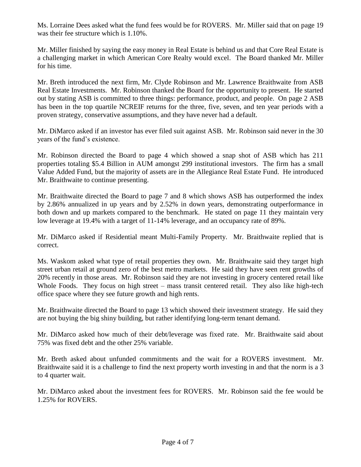Ms. Lorraine Dees asked what the fund fees would be for ROVERS. Mr. Miller said that on page 19 was their fee structure which is 1.10%.

Mr. Miller finished by saying the easy money in Real Estate is behind us and that Core Real Estate is a challenging market in which American Core Realty would excel. The Board thanked Mr. Miller for his time.

Mr. Breth introduced the next firm, Mr. Clyde Robinson and Mr. Lawrence Braithwaite from ASB Real Estate Investments. Mr. Robinson thanked the Board for the opportunity to present. He started out by stating ASB is committed to three things: performance, product, and people. On page 2 ASB has been in the top quartile NCREIF returns for the three, five, seven, and ten year periods with a proven strategy, conservative assumptions, and they have never had a default.

Mr. DiMarco asked if an investor has ever filed suit against ASB. Mr. Robinson said never in the 30 years of the fund's existence.

Mr. Robinson directed the Board to page 4 which showed a snap shot of ASB which has 211 properties totaling \$5.4 Billion in AUM amongst 299 institutional investors. The firm has a small Value Added Fund, but the majority of assets are in the Allegiance Real Estate Fund. He introduced Mr. Braithwaite to continue presenting.

Mr. Braithwaite directed the Board to page 7 and 8 which shows ASB has outperformed the index by 2.86% annualized in up years and by 2.52% in down years, demonstrating outperformance in both down and up markets compared to the benchmark. He stated on page 11 they maintain very low leverage at 19.4% with a target of 11-14% leverage, and an occupancy rate of 89%.

Mr. DiMarco asked if Residential meant Multi-Family Property. Mr. Braithwaite replied that is correct.

Ms. Waskom asked what type of retail properties they own. Mr. Braithwaite said they target high street urban retail at ground zero of the best metro markets. He said they have seen rent growths of 20% recently in those areas. Mr. Robinson said they are not investing in grocery centered retail like Whole Foods. They focus on high street – mass transit centered retail. They also like high-tech office space where they see future growth and high rents.

Mr. Braithwaite directed the Board to page 13 which showed their investment strategy. He said they are not buying the big shiny building, but rather identifying long-term tenant demand.

Mr. DiMarco asked how much of their debt/leverage was fixed rate. Mr. Braithwaite said about 75% was fixed debt and the other 25% variable.

Mr. Breth asked about unfunded commitments and the wait for a ROVERS investment. Mr. Braithwaite said it is a challenge to find the next property worth investing in and that the norm is a 3 to 4 quarter wait.

Mr. DiMarco asked about the investment fees for ROVERS. Mr. Robinson said the fee would be 1.25% for ROVERS.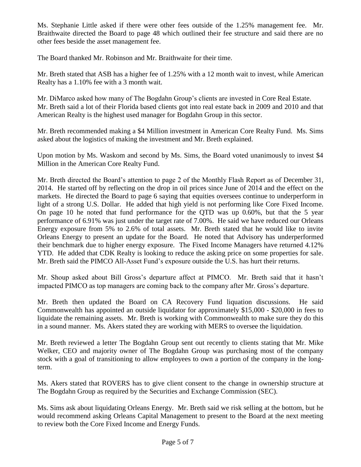Ms. Stephanie Little asked if there were other fees outside of the 1.25% management fee. Mr. Braithwaite directed the Board to page 48 which outlined their fee structure and said there are no other fees beside the asset management fee.

The Board thanked Mr. Robinson and Mr. Braithwaite for their time.

Mr. Breth stated that ASB has a higher fee of 1.25% with a 12 month wait to invest, while American Realty has a 1.10% fee with a 3 month wait.

Mr. DiMarco asked how many of The Bogdahn Group's clients are invested in Core Real Estate. Mr. Breth said a lot of their Florida based clients got into real estate back in 2009 and 2010 and that American Realty is the highest used manager for Bogdahn Group in this sector.

Mr. Breth recommended making a \$4 Million investment in American Core Realty Fund. Ms. Sims asked about the logistics of making the investment and Mr. Breth explained.

Upon motion by Ms. Waskom and second by Ms. Sims, the Board voted unanimously to invest \$4 Million in the American Core Realty Fund.

Mr. Breth directed the Board's attention to page 2 of the Monthly Flash Report as of December 31, 2014. He started off by reflecting on the drop in oil prices since June of 2014 and the effect on the markets. He directed the Board to page 6 saying that equities oversees continue to underperform in light of a strong U.S. Dollar. He added that high yield is not performing like Core Fixed Income. On page 10 he noted that fund performance for the QTD was up 0.60%, but that the 5 year performance of 6.91% was just under the target rate of 7.00%. He said we have reduced our Orleans Energy exposure from 5% to 2.6% of total assets. Mr. Breth stated that he would like to invite Orleans Energy to present an update for the Board. He noted that Advisory has underperformed their benchmark due to higher energy exposure. The Fixed Income Managers have returned 4.12% YTD. He added that CDK Realty is looking to reduce the asking price on some properties for sale. Mr. Breth said the PIMCO All-Asset Fund's exposure outside the U.S. has hurt their returns.

Mr. Shoup asked about Bill Gross's departure affect at PIMCO. Mr. Breth said that it hasn't impacted PIMCO as top managers are coming back to the company after Mr. Gross's departure.

Mr. Breth then updated the Board on CA Recovery Fund liquation discussions. He said Commonwealth has appointed an outside liquidator for approximately \$15,000 - \$20,000 in fees to liquidate the remaining assets. Mr. Breth is working with Commonwealth to make sure they do this in a sound manner. Ms. Akers stated they are working with MERS to oversee the liquidation.

Mr. Breth reviewed a letter The Bogdahn Group sent out recently to clients stating that Mr. Mike Welker, CEO and majority owner of The Bogdahn Group was purchasing most of the company stock with a goal of transitioning to allow employees to own a portion of the company in the longterm.

Ms. Akers stated that ROVERS has to give client consent to the change in ownership structure at The Bogdahn Group as required by the Securities and Exchange Commission (SEC).

Ms. Sims ask about liquidating Orleans Energy. Mr. Breth said we risk selling at the bottom, but he would recommend asking Orleans Capital Management to present to the Board at the next meeting to review both the Core Fixed Income and Energy Funds.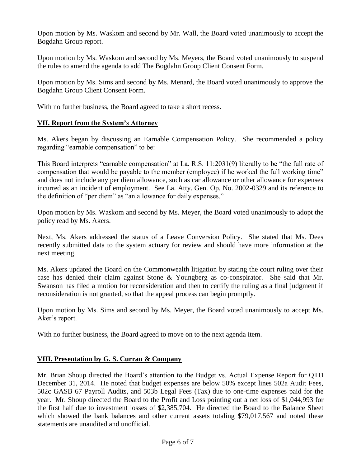Upon motion by Ms. Waskom and second by Mr. Wall, the Board voted unanimously to accept the Bogdahn Group report.

Upon motion by Ms. Waskom and second by Ms. Meyers, the Board voted unanimously to suspend the rules to amend the agenda to add The Bogdahn Group Client Consent Form.

Upon motion by Ms. Sims and second by Ms. Menard, the Board voted unanimously to approve the Bogdahn Group Client Consent Form.

With no further business, the Board agreed to take a short recess.

## **VII. Report from the System's Attorney**

Ms. Akers began by discussing an Earnable Compensation Policy. She recommended a policy regarding "earnable compensation" to be:

This Board interprets "earnable compensation" at La. R.S. 11:2031(9) literally to be "the full rate of compensation that would be payable to the member (employee) if he worked the full working time" and does not include any per diem allowance, such as car allowance or other allowance for expenses incurred as an incident of employment. See La. Atty. Gen. Op. No. 2002-0329 and its reference to the definition of "per diem" as "an allowance for daily expenses."

Upon motion by Ms. Waskom and second by Ms. Meyer, the Board voted unanimously to adopt the policy read by Ms. Akers.

Next, Ms. Akers addressed the status of a Leave Conversion Policy. She stated that Ms. Dees recently submitted data to the system actuary for review and should have more information at the next meeting.

Ms. Akers updated the Board on the Commonwealth litigation by stating the court ruling over their case has denied their claim against Stone & Youngberg as co-conspirator. She said that Mr. Swanson has filed a motion for reconsideration and then to certify the ruling as a final judgment if reconsideration is not granted, so that the appeal process can begin promptly.

Upon motion by Ms. Sims and second by Ms. Meyer, the Board voted unanimously to accept Ms. Aker's report.

With no further business, the Board agreed to move on to the next agenda item.

## **VIII. Presentation by G. S. Curran & Company**

Mr. Brian Shoup directed the Board's attention to the Budget vs. Actual Expense Report for QTD December 31, 2014. He noted that budget expenses are below 50% except lines 502a Audit Fees, 502c GASB 67 Payroll Audits, and 503b Legal Fees (Tax) due to one-time expenses paid for the year. Mr. Shoup directed the Board to the Profit and Loss pointing out a net loss of \$1,044,993 for the first half due to investment losses of \$2,385,704. He directed the Board to the Balance Sheet which showed the bank balances and other current assets totaling \$79,017,567 and noted these statements are unaudited and unofficial.